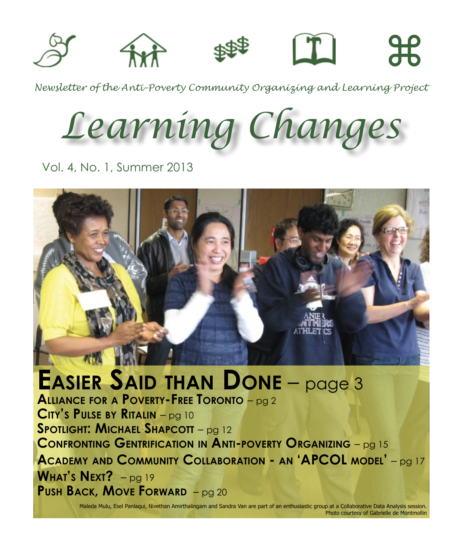

*Newsletter of the Anti-Poverty Community Organizing and Learning Project*

*Learning Changes*

Vol. 4, No. 1, Summer 2013



**Easier Said than Done** – page 3 **Alliance for a Poverty-Free Toronto** – pg 2 **City's Pulse by Ritalin** – pg 10 **Spotlight: Michael Shapcott** – pg 12 **Confronting Gentrification in Anti-poverty Organizing** – pg 15 **Academy and Community Collaboration - an 'APCOL model'** – pg 17 **What's Next?** – pg 19 **Push Back, Move Forward** – pg 20

> Maleda Mulu, Esel Panlaqui, Nivethan Amirthalingam and Sandra Van are part of an enthusiastic group at a Collaborative Data Analysis session. Photo courtesy of Gabrielle de Montmollin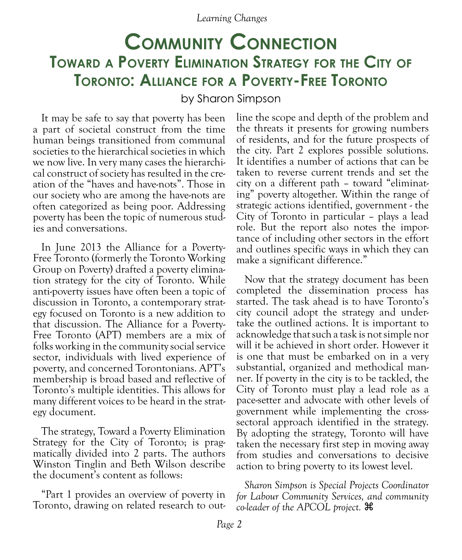# **Community Connection Toward a Poverty Elimination Strategy for the City of Toronto: Alliance for a Poverty-Free Toronto**

by Sharon Simpson

It may be safe to say that poverty has been a part of societal construct from the time human beings transitioned from communal societies to the hierarchical societies in which we now live. In very many cases the hierarchical construct of society has resulted in the creation of the "haves and have-nots". Those in our society who are among the have-nots are often categorized as being poor. Addressing poverty has been the topic of numerous studies and conversations.

In June 2013 the Alliance for a Poverty-Free Toronto (formerly the Toronto Working Group on Poverty) drafted a poverty elimination strategy for the city of Toronto. While anti-poverty issues have often been a topic of discussion in Toronto, a contemporary strategy focused on Toronto is a new addition to that discussion. The Alliance for a Poverty-Free Toronto (APT) members are a mix of folks working in the community social service sector, individuals with lived experience of poverty, and concerned Torontonians. APT's membership is broad based and reflective of Toronto's multiple identities. This allows for many different voices to be heard in the strategy document.

The strategy, Toward a Poverty Elimination Strategy for the City of Toronto; is pragmatically divided into 2 parts. The authors Winston Tinglin and Beth Wilson describe the document's content as follows:

"Part 1 provides an overview of poverty in Toronto, drawing on related research to out-

line the scope and depth of the problem and the threats it presents for growing numbers of residents, and for the future prospects of the city. Part 2 explores possible solutions. It identifies a number of actions that can be taken to reverse current trends and set the ing" poverty altogether. Within the range of strategic actions identified, government - the City of Toronto in particular – plays a lead role. But the report also notes the importance of including other sectors in the effort and outlines specific ways in which they can make a significant difference."

Now that the strategy document has been completed the dissemination process has started. The task ahead is to have Toronto's city council adopt the strategy and under- take the outlined actions. It is important to acknowledge that such a task is not simple nor will it be achieved in short order. However it is one that must be embarked on in a very substantial, organized and methodical man- ner. If poverty in the city is to be tackled, the City of Toronto must play a lead role as a pace-setter and advocate with other levels of government while implementing the crosssectoral approach identified in the strategy. By adopting the strategy, Toronto will have taken the necessary first step in moving away from studies and conversations to decisive action to bring poverty to its lowest level.

*Sharon Simpson is Special Projects Coordinator for Labour Community Services, and community co-leader of the APCOL project.* z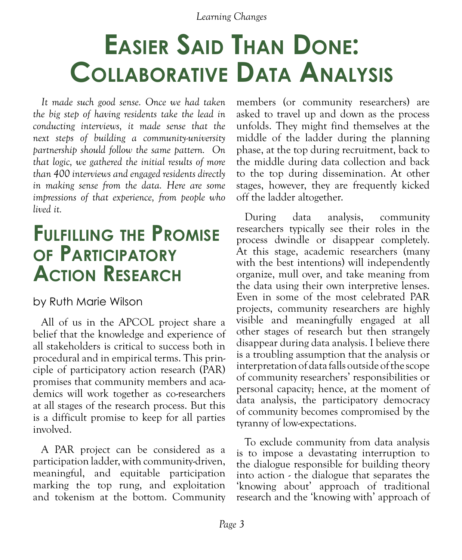# **Easier Said Than Done: Collaborative Data Analysis**

*It made such good sense. Once we had taken the big step of having residents take the lead in conducting interviews, it made sense that the next steps of building a community-university partnership should follow the same pattern. On that logic, we gathered the initial results of more than 400 interviews and engaged residents directly in making sense from the data. Here are some impressions of that experience, from people who lived it.*

# **Fulfilling the Promise of Participatory Action Research**

## by Ruth Marie Wilson

All of us in the APCOL project share a belief that the knowledge and experience of all stakeholders is critical to success both in procedural and in empirical terms. This principle of participatory action research (PAR) promises that community members and academics will work together as co-researchers at all stages of the research process. But this is a difficult promise to keep for all parties involved.

A PAR project can be considered as a participation ladder, with community-driven, meaningful, and equitable participation marking the top rung, and exploitation and tokenism at the bottom. Community

members (or community researchers) are asked to travel up and down as the process unfolds. They might find themselves at the middle of the ladder during the planning phase, at the top during recruitment, back to the middle during data collection and back to the top during dissemination. At other stages, however, they are frequently kicked off the ladder altogether.

During data analysis, community researchers typically see their roles in the process dwindle or disappear completely. At this stage, academic researchers (many with the best intentions) will independently organize, mull over, and take meaning from the data using their own interpretive lenses. Even in some of the most celebrated PAR projects, community researchers are highly visible and meaningfully engaged at all other stages of research but then strangely disappear during data analysis. I believe there is a troubling assumption that the analysis or interpretation of data falls outside of the scope of community researchers' responsibilities or personal capacity; hence, at the moment of data analysis, the participatory democracy of community becomes compromised by the tyranny of low-expectations.

To exclude community from data analysis is to impose a devastating interruption to the dialogue responsible for building theory into action - the dialogue that separates the 'knowing about' approach of traditional research and the 'knowing with' approach of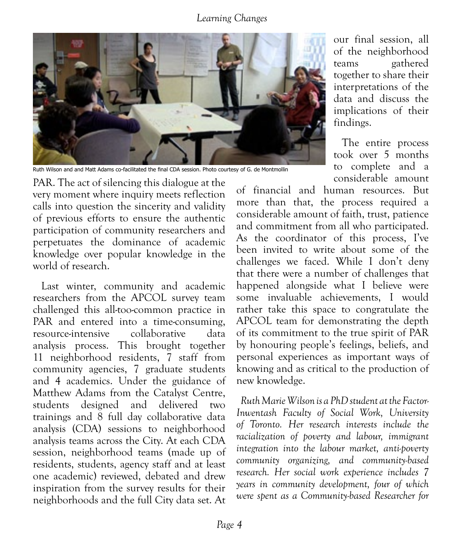

Ruth Wilson and and Matt Adams co-facilitated the final CDA session. Photo courtesy of G. de Montmollin

PAR. The act of silencing this dialogue at the very moment where inquiry meets reflection calls into question the sincerity and validity of previous efforts to ensure the authentic participation of community researchers and perpetuates the dominance of academic knowledge over popular knowledge in the world of research.

Last winter, community and academic researchers from the APCOL survey team challenged this all-too-common practice in PAR and entered into a time-consuming, resource-intensive collaborative data analysis process. This brought together 11 neighborhood residents, 7 staff from community agencies, 7 graduate students and 4 academics. Under the guidance of Matthew Adams from the Catalyst Centre, students designed and delivered two trainings and 8 full day collaborative data analysis (CDA) sessions to neighborhood analysis teams across the City. At each CDA session, neighborhood teams (made up of residents, students, agency staff and at least one academic) reviewed, debated and drew inspiration from the survey results for their neighborhoods and the full City data set. At our final session, all of the neighborhood teams gathered together to share their interpretations of the data and discuss the implications of their findings.

The entire process took over 5 months to complete and a considerable amount

of financial and human resources. But more than that, the process required a considerable amount of faith, trust, patience and commitment from all who participated. As the coordinator of this process, I've been invited to write about some of the challenges we faced. While I don't deny that there were a number of challenges that happened alongside what I believe were some invaluable achievements, I would rather take this space to congratulate the APCOL team for demonstrating the depth of its commitment to the true spirit of PAR by honouring people's feelings, beliefs, and personal experiences as important ways of knowing and as critical to the production of new knowledge.

*Ruth Marie Wilson is a PhD student at the Factor-Inwentash Faculty of Social Work, University of Toronto. Her research interests include the racialization of poverty and labour, immigrant integration into the labour market, anti-poverty community organizing, and community-based research. Her social work experience includes 7 years in community development, four of which were spent as a Community-based Researcher for*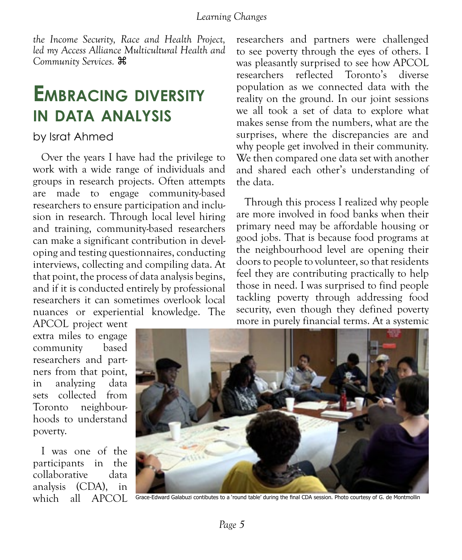*the Income Security, Race and Health Project, led my Access Alliance Multicultural Health and Community Services.* z

# **Embracing diversity in data analysis**

## by Israt Ahmed

Over the years I have had the privilege to work with a wide range of individuals and groups in research projects. Often attempts are made to engage community-based researchers to ensure participation and inclusion in research. Through local level hiring and training, community-based researchers can make a significant contribution in developing and testing questionnaires, conducting interviews, collecting and compiling data. At that point, the process of data analysis begins, and if it is conducted entirely by professional researchers it can sometimes overlook local nuances or experiential knowledge. The

APCOL project went extra miles to engage community based researchers and partners from that point, in analyzing data sets collected from Toronto neighbourhoods to understand poverty.

I was one of the participants in the collaborative data analysis (CDA), in which all APCOL researchers and partners were challenged to see poverty through the eyes of others. I was pleasantly surprised to see how APCOL researchers reflected Toronto's diverse population as we connected data with the reality on the ground. In our joint sessions we all took a set of data to explore what makes sense from the numbers, what are the surprises, where the discrepancies are and why people get involved in their community. We then compared one data set with another and shared each other's understanding of the data.

Through this process I realized why people are more involved in food banks when their primary need may be affordable housing or good jobs. That is because food programs at the neighbourhood level are opening their doors to people to volunteer, so that residents feel they are contributing practically to help those in need. I was surprised to find people tackling poverty through addressing food security, even though they defined poverty more in purely financial terms. At a systemic



Grace-Edward Galabuzi contibutes to a 'round table' during the final CDA session. Photo courtesy of G. de Montmollin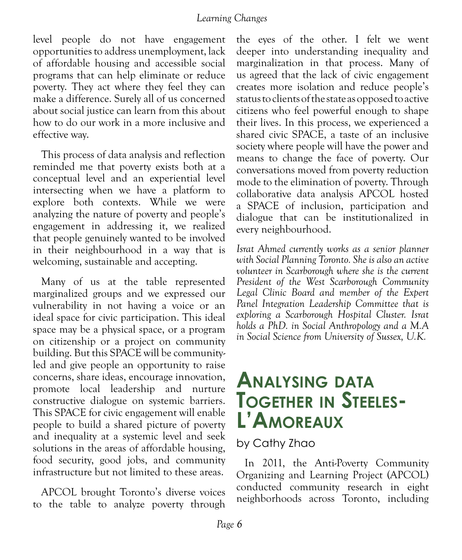level people do not have engagement opportunities to address unemployment, lack of affordable housing and accessible social programs that can help eliminate or reduce poverty. They act where they feel they can make a difference. Surely all of us concerned about social justice can learn from this about how to do our work in a more inclusive and effective way.

This process of data analysis and reflection reminded me that poverty exists both at a conceptual level and an experiential level intersecting when we have a platform to explore both contexts. While we were analyzing the nature of poverty and people's engagement in addressing it, we realized that people genuinely wanted to be involved in their neighbourhood in a way that is welcoming, sustainable and accepting.

Many of us at the table represented marginalized groups and we expressed our vulnerability in not having a voice or an ideal space for civic participation. This ideal space may be a physical space, or a program on citizenship or a project on community building. But this SPACE will be communityled and give people an opportunity to raise concerns, share ideas, encourage innovation, promote local leadership and nurture constructive dialogue on systemic barriers. This SPACE for civic engagement will enable people to build a shared picture of poverty and inequality at a systemic level and seek solutions in the areas of affordable housing, food security, good jobs, and community infrastructure but not limited to these areas.

APCOL brought Toronto's diverse voices to the table to analyze poverty through

the eyes of the other. I felt we went deeper into understanding inequality and marginalization in that process. Many of us agreed that the lack of civic engagement creates more isolation and reduce people's status to clients of the state as opposed to active citizens who feel powerful enough to shape their lives. In this process, we experienced a shared civic SPACE, a taste of an inclusive society where people will have the power and means to change the face of poverty. Our conversations moved from poverty reduction mode to the elimination of poverty. Through collaborative data analysis APCOL hosted a SPACE of inclusion, participation and dialogue that can be institutionalized in every neighbourhood.

*Israt Ahmed currently works as a senior planner with Social Planning Toronto. She is also an active volunteer in Scarborough where she is the current President of the West Scarborough Community Legal Clinic Board and member of the Expert Panel Integration Leadership Committee that is exploring a Scarborough Hospital Cluster. Israt holds a PhD. in Social Anthropology and a M.A in Social Science from University of Sussex, U.K.* 

# **Analysing data Together in Steeles- L'Amoreaux**

## by Cathy Zhao

In 2011, the Anti-Poverty Community Organizing and Learning Project (APCOL) conducted community research in eight neighborhoods across Toronto, including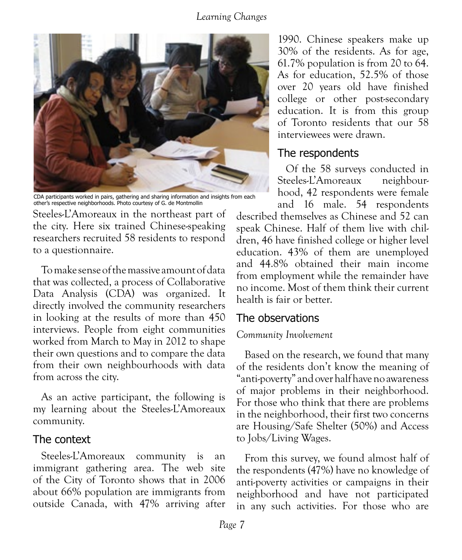

CDA participants worked in pairs, gathering and sharing information and insights from each other's respective neighborhoods. Photo courtesy of G. de Montmollin

Steeles-L'Amoreaux in the northeast part of the city. Here six trained Chinese-speaking researchers recruited 58 residents to respond to a questionnaire.

To make sense of the massive amount of data that was collected, a process of Collaborative Data Analysis (CDA) was organized. It directly involved the community researchers in looking at the results of more than 450 interviews. People from eight communities worked from March to May in 2012 to shape their own questions and to compare the data from their own neighbourhoods with data from across the city.

As an active participant, the following is my learning about the Steeles-L'Amoreaux community.

### The context

Steeles-L'Amoreaux community is an immigrant gathering area. The web site of the City of Toronto shows that in 2006 about 66% population are immigrants from outside Canada, with 47% arriving after

1990. Chinese speakers make up 30% of the residents. As for age, 61.7% population is from 20 to 64. As for education, 52.5% of those over 20 years old have finished college or other post-secondary education. It is from this group of Toronto residents that our 58 interviewees were drawn.

## The respondents

Of the 58 surveys conducted in Steeles-L'Amoreaux neighbourhood, 42 respondents were female and 16 male. 54 respondents

described themselves as Chinese and 52 can speak Chinese. Half of them live with children, 46 have finished college or higher level education. 43% of them are unemployed and 44.8% obtained their main income from employment while the remainder have no income. Most of them think their current health is fair or better.

## The observations

#### *Community Involvement*

Based on the research, we found that many of the residents don't know the meaning of "anti-poverty" and over half have no awareness of major problems in their neighborhood. For those who think that there are problems in the neighborhood, their first two concerns are Housing/Safe Shelter (50%) and Access to Jobs/Living Wages.

From this survey, we found almost half of the respondents (47%) have no knowledge of anti-poverty activities or campaigns in their neighborhood and have not participated in any such activities. For those who are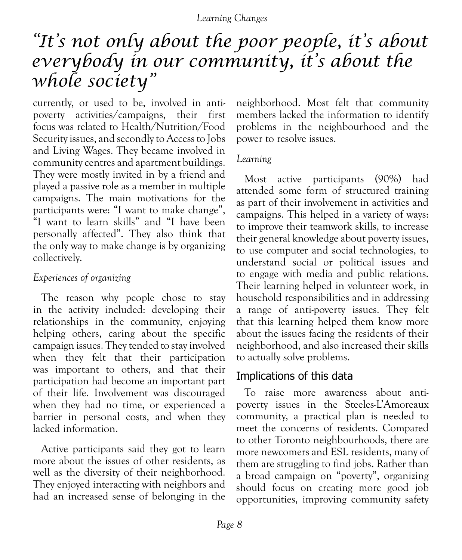# *"It's not only about the poor people, it's about everybody in our community, it's about the whole society"*

currently, or used to be, involved in antipoverty activities/campaigns, their first focus was related to Health/Nutrition/Food Security issues, and secondly to Access to Jobs and Living Wages. They became involved in community centres and apartment buildings. They were mostly invited in by a friend and played a passive role as a member in multiple campaigns. The main motivations for the participants were: "I want to make change", "I want to learn skills" and "I have been personally affected". They also think that the only way to make change is by organizing collectively.

## *Experiences of organizing*

The reason why people chose to stay in the activity included: developing their relationships in the community, enjoying helping others, caring about the specific campaign issues. They tended to stay involved when they felt that their participation was important to others, and that their participation had become an important part of their life. Involvement was discouraged when they had no time, or experienced a barrier in personal costs, and when they lacked information.

Active participants said they got to learn more about the issues of other residents, as well as the diversity of their neighborhood. They enjoyed interacting with neighbors and had an increased sense of belonging in the neighborhood. Most felt that community members lacked the information to identify problems in the neighbourhood and the power to resolve issues.

#### *Learning*

Most active participants (90%) had attended some form of structured training as part of their involvement in activities and campaigns. This helped in a variety of ways: to improve their teamwork skills, to increase their general knowledge about poverty issues, to use computer and social technologies, to understand social or political issues and to engage with media and public relations. Their learning helped in volunteer work, in household responsibilities and in addressing a range of anti-poverty issues. They felt that this learning helped them know more about the issues facing the residents of their neighborhood, and also increased their skills to actually solve problems.

## Implications of this data

To raise more awareness about antipoverty issues in the Steeles-L'Amoreaux community, a practical plan is needed to meet the concerns of residents. Compared to other Toronto neighbourhoods, there are more newcomers and ESL residents, many of them are struggling to find jobs. Rather than a broad campaign on "poverty", organizing should focus on creating more good job opportunities, improving community safety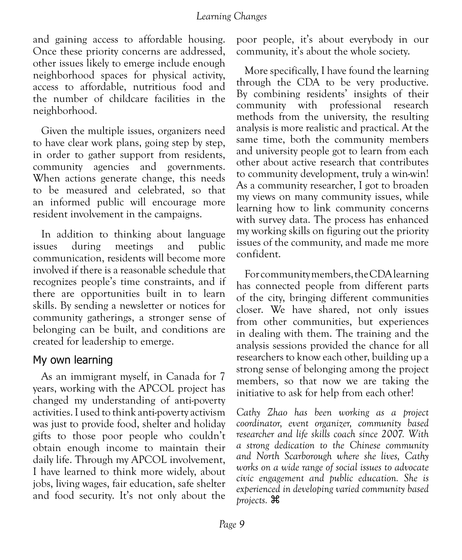and gaining access to affordable housing. Once these priority concerns are addressed, other issues likely to emerge include enough neighborhood spaces for physical activity, access to affordable, nutritious food and the number of childcare facilities in the neighborhood.

Given the multiple issues, organizers need to have clear work plans, going step by step, in order to gather support from residents, community agencies and governments. When actions generate change, this needs to be measured and celebrated, so that an informed public will encourage more resident involvement in the campaigns.

In addition to thinking about language issues during meetings and public communication, residents will become more involved if there is a reasonable schedule that recognizes people's time constraints, and if there are opportunities built in to learn skills. By sending a newsletter or notices for community gatherings, a stronger sense of belonging can be built, and conditions are created for leadership to emerge.

### My own learning

As an immigrant myself, in Canada for 7 years, working with the APCOL project has changed my understanding of anti-poverty activities. I used to think anti-poverty activism was just to provide food, shelter and holiday gifts to those poor people who couldn't obtain enough income to maintain their daily life. Through my APCOL involvement, I have learned to think more widely, about jobs, living wages, fair education, safe shelter and food security. It's not only about the

poor people, it's about everybody in our community, it's about the whole society.

More specifically, I have found the learning through the CDA to be very productive. By combining residents' insights of their community with professional research methods from the university, the resulting analysis is more realistic and practical. At the same time, both the community members and university people got to learn from each other about active research that contributes to community development, truly a win-win! As a community researcher, I got to broaden my views on many community issues, while learning how to link community concerns with survey data. The process has enhanced my working skills on figuring out the priority issues of the community, and made me more confident.

For community members, the CDA learning has connected people from different parts of the city, bringing different communities closer. We have shared, not only issues from other communities, but experiences in dealing with them. The training and the analysis sessions provided the chance for all researchers to know each other, building up a strong sense of belonging among the project members, so that now we are taking the initiative to ask for help from each other!

*Cathy Zhao has been working as a project coordinator, event organizer, community based researcher and life skills coach since 2007. With a strong dedication to the Chinese community and North Scarborough where she lives, Cathy works on a wide range of social issues to advocate civic engagement and public education. She is experienced in developing varied community based projects.* z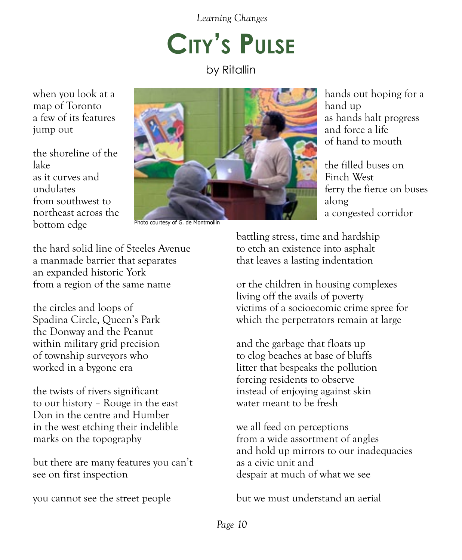# **City's Pulse**

by Ritallin

when you look at a map of Toronto a few of its features jump out

the shoreline of the lake as it curves and undulates from southwest to northeast across the bottom edge



Photo courtesy of G. de Montmollin

hands out hoping for a hand up as hands halt progress and force a life of hand to mouth

the filled buses on Finch West ferry the fierce on buses along a congested corridor

the hard solid line of Steeles Avenue a manmade barrier that separates an expanded historic York from a region of the same name

the circles and loops of Spadina Circle, Queen's Park the Donway and the Peanut within military grid precision of township surveyors who worked in a bygone era

the twists of rivers significant to our history – Rouge in the east Don in the centre and Humber in the west etching their indelible marks on the topography

but there are many features you can't see on first inspection

you cannot see the street people

battling stress, time and hardship to etch an existence into asphalt that leaves a lasting indentation

or the children in housing complexes living off the avails of poverty victims of a socioecomic crime spree for which the perpetrators remain at large

and the garbage that floats up to clog beaches at base of bluffs litter that bespeaks the pollution forcing residents to observe instead of enjoying against skin water meant to be fresh

we all feed on perceptions from a wide assortment of angles and hold up mirrors to our inadequacies as a civic unit and despair at much of what we see

but we must understand an aerial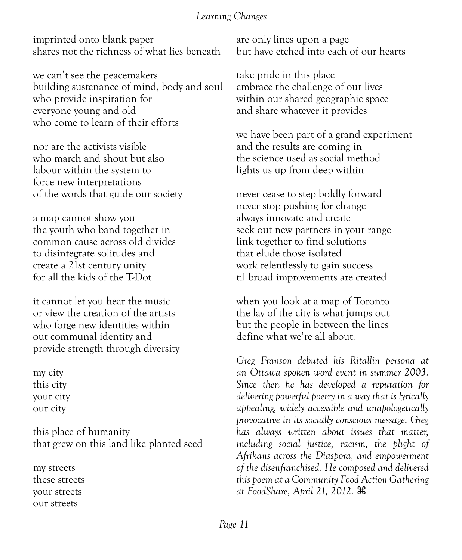imprinted onto blank paper shares not the richness of what lies beneath

we can't see the peacemakers building sustenance of mind, body and soul who provide inspiration for everyone young and old who come to learn of their efforts

nor are the activists visible who march and shout but also labour within the system to force new interpretations of the words that guide our society

a map cannot show you the youth who band together in common cause across old divides to disintegrate solitudes and create a 21st century unity for all the kids of the T-Dot

it cannot let you hear the music or view the creation of the artists who forge new identities within out communal identity and provide strength through diversity

my city this city your city our city

this place of humanity that grew on this land like planted seed

my streets these streets your streets our streets

are only lines upon a page but have etched into each of our hearts

take pride in this place embrace the challenge of our lives within our shared geographic space and share whatever it provides

we have been part of a grand experiment and the results are coming in the science used as social method lights us up from deep within

never cease to step boldly forward never stop pushing for change always innovate and create seek out new partners in your range link together to find solutions that elude those isolated work relentlessly to gain success til broad improvements are created

when you look at a map of Toronto the lay of the city is what jumps out but the people in between the lines define what we're all about.

*Greg Franson debuted his Ritallin persona at an Ottawa spoken word event in summer 2003. Since then he has developed a reputation for delivering powerful poetry in a way that is lyrically appealing, widely accessible and unapologetically provocative in its socially conscious message. Greg has always written about issues that matter, including social justice, racism, the plight of Afrikans across the Diaspora, and empowerment of the disenfranchised. He composed and delivered this poem at a Community Food Action Gathering at FoodShare, April 21, 2012.* z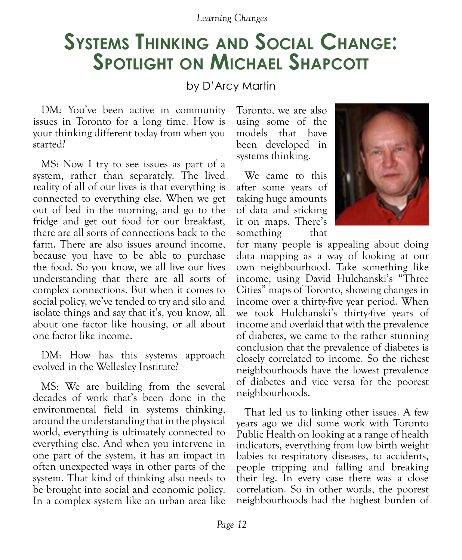# **Systems Thinking and Social Change: Spotlight on Michael Shapcott**

## by D'Arcy Martin

DM: You've been active in community issues in Toronto for a long time. How is your thinking different today from when you started?

MS: Now I try to see issues as part of a system, rather than separately. The lived reality of all of our lives is that everything is connected to everything else. When we get out of bed in the morning, and go to the fridge and get out food for our breakfast, there are all sorts of connections back to the farm. There are also issues around income, because you have to be able to purchase the food. So you know, we all live our lives understanding that there are all sorts of complex connections. But when it comes to social policy, we've tended to try and silo and isolate things and say that it's, you know, all about one factor like housing, or all about one factor like income.

DM: How has this systems approach evolved in the Wellesley Institute?

MS: We are building from the several decades of work that's been done in the environmental field in systems thinking, around the understanding that in the physical world, everything is ultimately connected to everything else. And when you intervene in one part of the system, it has an impact in often unexpected ways in other parts of the system. That kind of thinking also needs to be brought into social and economic policy. In a complex system like an urban area like Toronto, we are also using some of the models that have been developed in systems thinking.

We came to this after some years of taking huge amounts of data and sticking it on maps. There's something that



for many people is appealing about doing data mapping as a way of looking at our own neighbourhood. Take something like income, using David Hulchanski's "Three Cities" maps of Toronto, showing changes in income over a thirty-five year period. When we took Hulchanski's thirty-five years of income and overlaid that with the prevalence of diabetes, we came to the rather stunning conclusion that the prevalence of diabetes is closely correlated to income. So the richest neighbourhoods have the lowest prevalence of diabetes and vice versa for the poorest neighbourhoods.

That led us to linking other issues. A few years ago we did some work with Toronto Public Health on looking at a range of health indicators, everything from low birth weight babies to respiratory diseases, to accidents, people tripping and falling and breaking their leg. In every case there was a close correlation. So in other words, the poorest neighbourhoods had the highest burden of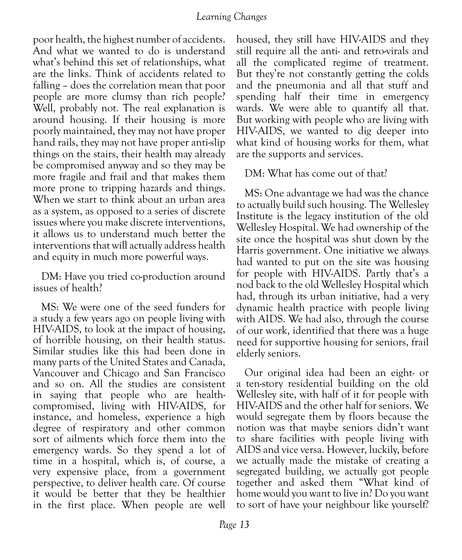poor health, the highest number of accidents. And what we wanted to do is understand what's behind this set of relationships, what are the links. Think of accidents related to falling – does the correlation mean that poor people are more clumsy than rich people? Well, probably not. The real explanation is around housing. If their housing is more poorly maintained, they may not have proper hand rails, they may not have proper anti-slip things on the stairs, their health may already be compromised anyway and so they may be more fragile and frail and that makes them more prone to tripping hazards and things. When we start to think about an urban area as a system, as opposed to a series of discrete issues where you make discrete interventions, it allows us to understand much better the interventions that will actually address health and equity in much more powerful ways.

DM: Have you tried co-production around issues of health?

MS: We were one of the seed funders for a study a few years ago on people living with HIV-AIDS, to look at the impact of housing, of horrible housing, on their health status. Similar studies like this had been done in many parts of the United States and Canada, Vancouver and Chicago and San Francisco and so on. All the studies are consistent in saying that people who are healthcompromised, living with HIV-AIDS, for instance, and homeless, experience a high degree of respiratory and other common sort of ailments which force them into the emergency wards. So they spend a lot of time in a hospital, which is, of course, a very expensive place, from a government perspective, to deliver health care. Of course it would be better that they be healthier in the first place. When people are well

housed, they still have HIV-AIDS and they still require all the anti- and retro-virals and all the complicated regime of treatment. But they're not constantly getting the colds and the pneumonia and all that stuff and spending half their time in emergency wards. We were able to quantify all that. But working with people who are living with HIV-AIDS, we wanted to dig deeper into what kind of housing works for them, what are the supports and services.

DM: What has come out of that?

MS: One advantage we had was the chance to actually build such housing. The Wellesley Institute is the legacy institution of the old Wellesley Hospital. We had ownership of the site once the hospital was shut down by the Harris government. One initiative we always had wanted to put on the site was housing for people with HIV-AIDS. Partly that's a nod back to the old Wellesley Hospital which had, through its urban initiative, had a very dynamic health practice with people living with AIDS. We had also, through the course of our work, identified that there was a huge need for supportive housing for seniors, frail elderly seniors.

Our original idea had been an eight- or a ten-story residential building on the old Wellesley site, with half of it for people with HIV-AIDS and the other half for seniors. We would segregate them by floors because the notion was that maybe seniors didn't want to share facilities with people living with AIDS and vice versa. However, luckily, before we actually made the mistake of creating a segregated building, we actually got people together and asked them "What kind of home would you want to live in? Do you want to sort of have your neighbour like yourself?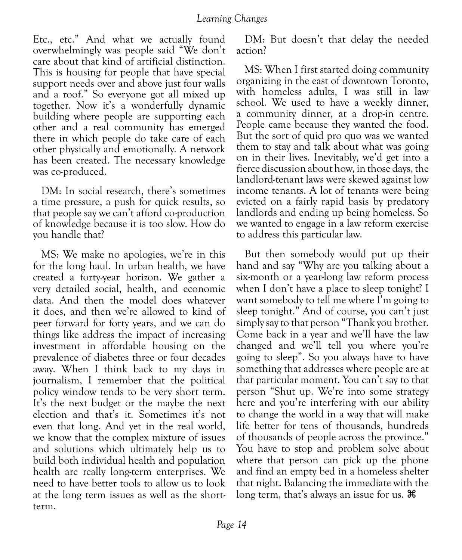Etc., etc." And what we actually found overwhelmingly was people said "We don't care about that kind of artificial distinction. This is housing for people that have special support needs over and above just four walls and a roof." So everyone got all mixed up together. Now it's a wonderfully dynamic building where people are supporting each other and a real community has emerged there in which people do take care of each other physically and emotionally. A network has been created. The necessary knowledge was co-produced.

DM: In social research, there's sometimes a time pressure, a push for quick results, so that people say we can't afford co-production of knowledge because it is too slow. How do you handle that?

MS: We make no apologies, we're in this for the long haul. In urban health, we have created a forty-year horizon. We gather a very detailed social, health, and economic data. And then the model does whatever it does, and then we're allowed to kind of peer forward for forty years, and we can do things like address the impact of increasing investment in affordable housing on the prevalence of diabetes three or four decades away. When I think back to my days in journalism, I remember that the political policy window tends to be very short term. It's the next budget or the maybe the next election and that's it. Sometimes it's not even that long. And yet in the real world, we know that the complex mixture of issues and solutions which ultimately help us to build both individual health and population health are really long-term enterprises. We need to have better tools to allow us to look at the long term issues as well as the shortterm.

DM: But doesn't that delay the needed action?

MS: When I first started doing community organizing in the east of downtown Toronto, with homeless adults, I was still in law school. We used to have a weekly dinner, a community dinner, at a drop-in centre. People came because they wanted the food. But the sort of quid pro quo was we wanted them to stay and talk about what was going on in their lives. Inevitably, we'd get into a fierce discussion about how, in those days, the landlord-tenant laws were skewed against low income tenants. A lot of tenants were being evicted on a fairly rapid basis by predatory landlords and ending up being homeless. So we wanted to engage in a law reform exercise to address this particular law.

But then somebody would put up their hand and say "Why are you talking about a six-month or a year-long law reform process when I don't have a place to sleep tonight? I want somebody to tell me where I'm going to sleep tonight." And of course, you can't just simply say to that person "Thank you brother. Come back in a year and we'll have the law changed and we'll tell you where you're going to sleep". So you always have to have something that addresses where people are at that particular moment. You can't say to that person "Shut up. We're into some strategy here and you're interfering with our ability to change the world in a way that will make life better for tens of thousands, hundreds of thousands of people across the province." You have to stop and problem solve about where that person can pick up the phone and find an empty bed in a homeless shelter that night. Balancing the immediate with the long term, that's always an issue for us.  $\mathcal{H}$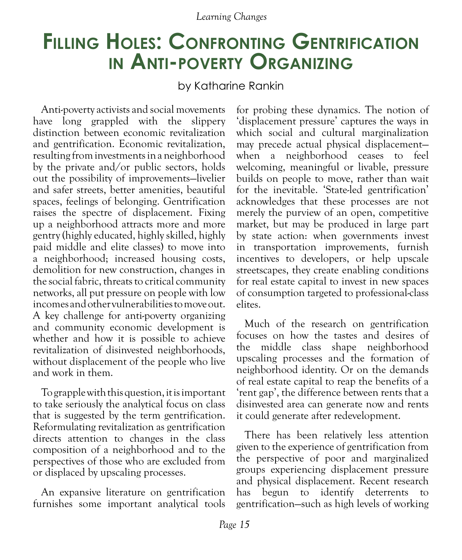# **Filling Holes: Confronting Gentrification in Anti-poverty Organizing**

by Katharine Rankin

Anti-poverty activists and social movements have long grappled with the slippery distinction between economic revitalization and gentrification. Economic revitalization, resulting from investments in a neighborhood by the private and/or public sectors, holds out the possibility of improvements—livelier and safer streets, better amenities, beautiful spaces, feelings of belonging. Gentrification raises the spectre of displacement. Fixing up a neighborhood attracts more and more gentry (highly educated, highly skilled, highly paid middle and elite classes) to move into a neighborhood; increased housing costs, demolition for new construction, changes in the social fabric, threats to critical community networks, all put pressure on people with low incomes and other vulnerabilities to move out. A key challenge for anti-poverty organizing and community economic development is whether and how it is possible to achieve revitalization of disinvested neighborhoods, without displacement of the people who live and work in them.

To grapple with this question, it is important to take seriously the analytical focus on class that is suggested by the term gentrification. Reformulating revitalization as gentrification directs attention to changes in the class composition of a neighborhood and to the perspectives of those who are excluded from or displaced by upscaling processes.

An expansive literature on gentrification furnishes some important analytical tools for probing these dynamics. The notion of 'displacement pressure' captures the ways in which social and cultural marginalization may precede actual physical displacement when a neighborhood ceases to feel welcoming, meaningful or livable, pressure builds on people to move, rather than wait for the inevitable. 'State-led gentrification' acknowledges that these processes are not merely the purview of an open, competitive market, but may be produced in large part by state action: when governments invest in transportation improvements, furnish incentives to developers, or help upscale streetscapes, they create enabling conditions for real estate capital to invest in new spaces of consumption targeted to professional-class elites.

Much of the research on gentrification focuses on how the tastes and desires of the middle class shape neighborhood upscaling processes and the formation of neighborhood identity. Or on the demands of real estate capital to reap the benefits of a 'rent gap', the difference between rents that a disinvested area can generate now and rents it could generate after redevelopment.

There has been relatively less attention given to the experience of gentrification from the perspective of poor and marginalized groups experiencing displacement pressure and physical displacement. Recent research has begun to identify deterrents to gentrification—such as high levels of working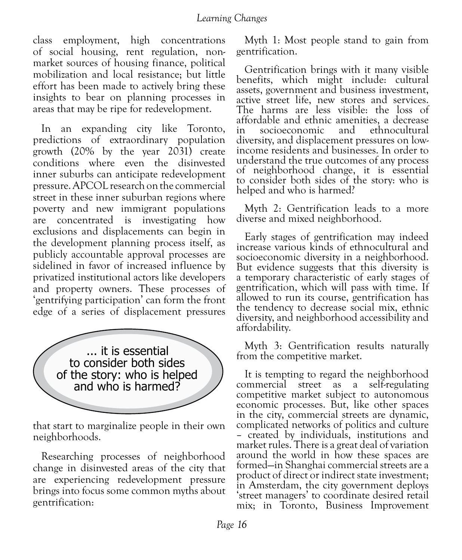class employment, high concentrations of social housing, rent regulation, nonmarket sources of housing finance, political mobilization and local resistance; but little effort has been made to actively bring these insights to bear on planning processes in areas that may be ripe for redevelopment.

In an expanding city like Toronto, predictions of extraordinary population growth (20% by the year 2031) create conditions where even the disinvested inner suburbs can anticipate redevelopment pressure. APCOL research on the commercial street in these inner suburban regions where poverty and new immigrant populations are concentrated is investigating how exclusions and displacements can begin in the development planning process itself, as publicly accountable approval processes are sidelined in favor of increased influence by privatized institutional actors like developers and property owners. These processes of 'gentrifying participation' can form the front edge of a series of displacement pressures



that start to marginalize people in their own neighborhoods.

Researching processes of neighborhood change in disinvested areas of the city that are experiencing redevelopment pressure brings into focus some common myths about gentrification:

Myth 1: Most people stand to gain from gentrification.

Gentrification brings with it many visible benefits, which might include: cultural assets, government and business investment, active street life, new stores and services. The harms are less visible: the loss of affordable and ethnic amenities, a decrease socioeconomic diversity, and displacement pressures on lowincome residents and businesses. In order to understand the true outcomes of any process of neighborhood change, it is essential to consider both sides of the story: who is helped and who is harmed?

Myth 2: Gentrification leads to a more diverse and mixed neighborhood.

Early stages of gentrification may indeed increase various kinds of ethnocultural and socioeconomic diversity in a neighborhood. But evidence suggests that this diversity is a temporary characteristic of early stages of gentrification, which will pass with time. If allowed to run its course, gentrification has the tendency to decrease social mix, ethnic diversity, and neighborhood accessibility and affordability.

Myth 3: Gentrification results naturally from the competitive market.

It is tempting to regard the neighborhood commercial street as a self-regulating competitive market subject to autonomous economic processes. But, like other spaces in the city, commercial streets are dynamic, complicated networks of politics and culture – created by individuals, institutions and market rules. There is a great deal of variation around the world in how these spaces are formed—in Shanghai commercial streets are a product of direct or indirect state investment; in Amsterdam, the city government deploys 'street managers' to coordinate desired retail mix; in Toronto, Business Improvement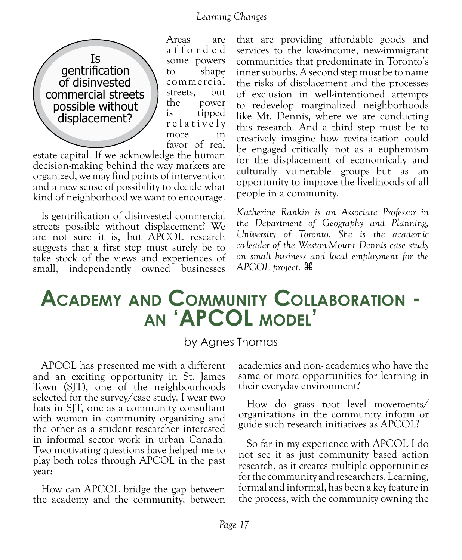

Areas are a f f o r d e d some powers to shape commercial streets, but the power is tipped r e l a t i v e l y more in favor of real

estate capital. If we acknowledge the human decision-making behind the way markets are organized, we may find points of intervention and a new sense of possibility to decide what kind of neighborhood we want to encourage.

Is gentrification of disinvested commercial streets possible without displacement? We are not sure it is, but APCOL research suggests that a first step must surely be to take stock of the views and experiences of small, independently owned businesses that are providing affordable goods and services to the low-income, new-immigrant communities that predominate in Toronto's inner suburbs. A second step must be to name the risks of displacement and the processes of exclusion in well-intentioned attempts to redevelop marginalized neighborhoods like Mt. Dennis, where we are conducting this research. And a third step must be to creatively imagine how revitalization could be engaged critically—not as a euphemism for the displacement of economically and culturally vulnerable groups—but as an opportunity to improve the livelihoods of all people in a community.

*Katherine Rankin is an Associate Professor in the Department of Geography and Planning, University of Toronto. She is the academic co-leader of the Weston-Mount Dennis case study on small business and local employment for the APCOL project.* z

# **Academy and Community Collaboration an 'APCOL model'**

### by Agnes Thomas

APCOL has presented me with a different and an exciting opportunity in St. James Town (SJT), one of the neighbourhoods selected for the survey/case study. I wear two hats in SJT, one as a community consultant with women in community organizing and the other as a student researcher interested in informal sector work in urban Canada. Two motivating questions have helped me to play both roles through APCOL in the past year:

How can APCOL bridge the gap between the academy and the community, between academics and non- academics who have the same or more opportunities for learning in their everyday environment?

How do grass root level movements/ organizations in the community inform or guide such research initiatives as APCOL?

So far in my experience with APCOL I do not see it as just community based action research, as it creates multiple opportunities for the community and researchers. Learning, formal and informal, has been a key feature in the process, with the community owning the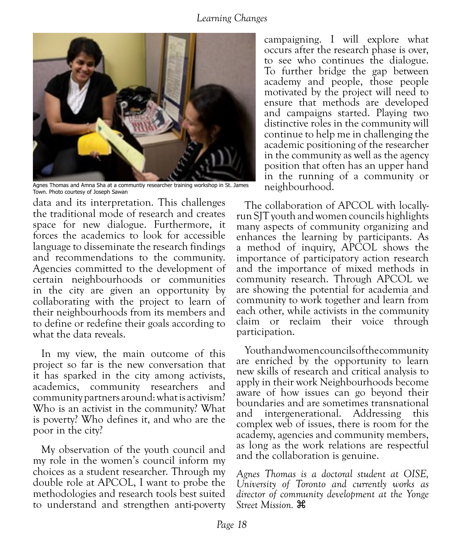

Agnes Thomas and Amna Sha at a communtiy researcher training workshop in St. James Town. Photo courtesy of Joseph Sawan

data and its interpretation. This challenges the traditional mode of research and creates space for new dialogue. Furthermore, it forces the academics to look for accessible language to disseminate the research findings and recommendations to the community. Agencies committed to the development of certain neighbourhoods or communities in the city are given an opportunity by collaborating with the project to learn of their neighbourhoods from its members and to define or redefine their goals according to what the data reveals.

In my view, the main outcome of this project so far is the new conversation that it has sparked in the city among activists, academics, community researchers and community partners around: what is activism? Who is an activist in the community? What is poverty? Who defines it, and who are the poor in the city?

My observation of the youth council and my role in the women's council inform my choices as a student researcher. Through my double role at APCOL, I want to probe the methodologies and research tools best suited to understand and strengthen anti-poverty campaigning. I will explore what occurs after the research phase is over, to see who continues the dialogue. To further bridge the gap between academy and people, those people motivated by the project will need to ensure that methods are developed and campaigns started. Playing two distinctive roles in the community will continue to help me in challenging the academic positioning of the researcher in the community as well as the agency position that often has an upper hand in the running of a community or neighbourhood.

The collaboration of APCOL with locallyrun SJT youth and women councils highlights many aspects of community organizing and enhances the learning by participants. As a method of inquiry, APCOL shows the importance of participatory action research and the importance of mixed methods in community research. Through APCOL we are showing the potential for academia and community to work together and learn from each other, while activists in the community claim or reclaim their voice through participation.

Youth and women councils of the community are enriched by the opportunity to learn new skills of research and critical analysis to apply in their work Neighbourhoods become aware of how issues can go beyond their boundaries and are sometimes transnational and intergenerational. Addressing this complex web of issues, there is room for the academy, agencies and community members, as long as the work relations are respectful and the collaboration is genuine.

*Agnes Thomas is a doctoral student at OISE, University of Toronto and currently works as director of community development at the Yonge Street Mission.* z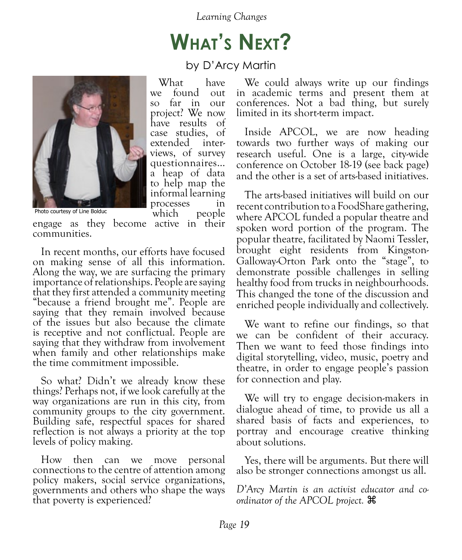# **What's Next?**

by D'Arcy Martin

What have we found out so far in our project? We now have results of case studies, of extended interviews, of survey questionnaires… a heap of data to help map the informal learning processes in



Photo courtesy of Line Bolduc

Photo courtesy of Line Bolduc **become** which people engage as they become active in their communities.

In recent months, our efforts have focused on making sense of all this information. Along the way, we are surfacing the primary importance of relationships. People are saying that they first attended a community meeting "because a friend brought me". People are saying that they remain involved because of the issues but also because the climate is receptive and not conflictual. People are saying that they withdraw from involvement when family and other relationships make the time commitment impossible.

So what? Didn't we already know these things? Perhaps not, if we look carefully at the way organizations are run in this city, from community groups to the city government. Building safe, respectful spaces for shared reflection is not always a priority at the top levels of policy making.

How then can we move personal connections to the centre of attention among policy makers, social service organizations, governments and others who shape the ways that poverty is experienced?

We could always write up our findings in academic terms and present them at conferences. Not a bad thing, but surely limited in its short-term impact.

Inside APCOL, we are now heading towards two further ways of making our research useful. One is a large, city-wide conference on October 18-19 (see back page) and the other is a set of arts-based initiatives.

The arts-based initiatives will build on our recent contribution to a FoodShare gathering, where APCOL funded a popular theatre and spoken word portion of the program. The popular theatre, facilitated by Naomi Tessler, brought eight residents from Kingston-Galloway-Orton Park onto the "stage", to demonstrate possible challenges in selling healthy food from trucks in neighbourhoods. This changed the tone of the discussion and enriched people individually and collectively.

We want to refine our findings, so that we can be confident of their accuracy. Then we want to feed those findings into digital storytelling, video, music, poetry and theatre, in order to engage people's passion for connection and play.

We will try to engage decision-makers in dialogue ahead of time, to provide us all a shared basis of facts and experiences, to portray and encourage creative thinking about solutions.

Yes, there will be arguments. But there will also be stronger connections amongst us all.

*D'Arcy Martin is an activist educator and coordinator of the APCOL project.*  $\mathcal{H}$